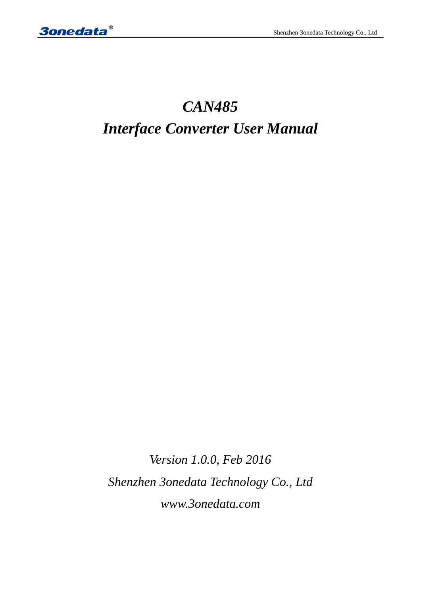# *CAN485 Interface Converter User Manual*

*Version 1.0.0, Feb 2016 Shenzhen 3onedata Technology Co., Ltd www.3onedata.com*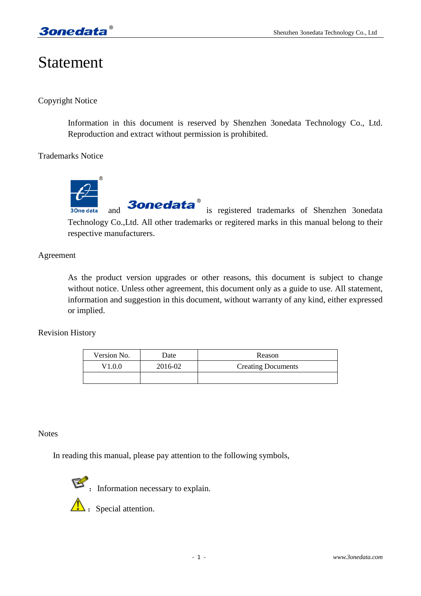# Statement

## Copyright Notice

Information in this document is reserved by Shenzhen 3onedata Technology Co., Ltd. Reproduction and extract without permission is prohibited.

Trademarks Notice



and **3onedata** is registered trademarks of Shenzhen 3onedata 3One data Technology Co.,Ltd. All other trademarks or regitered marks in this manual belong to their respective manufacturers.

## Agreement

As the product version upgrades or other reasons, this document is subject to change without notice. Unless other agreement, this document only as a guide to use. All statement, information and suggestion in this document, without warranty of any kind, either expressed or implied.

## Revision History

| Version No. | Date    | Reason                    |
|-------------|---------|---------------------------|
| V1.0.0      | 2016-02 | <b>Creating Documents</b> |
|             |         |                           |

#### **Notes**

In reading this manual, please pay attention to the following symbols,



**EXECUTE:** Information necessary to explain.

 $\mathbf{\Lambda}$  : Special attention.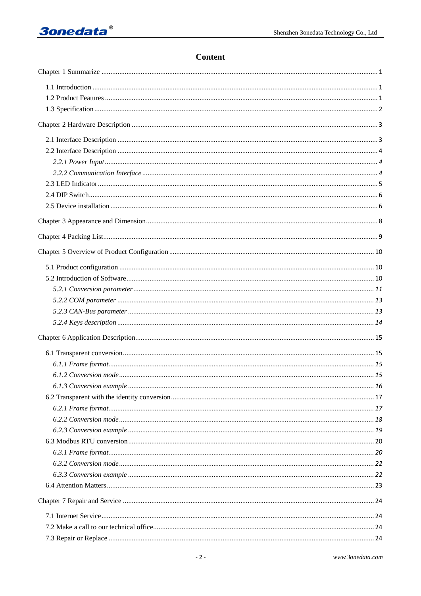## Content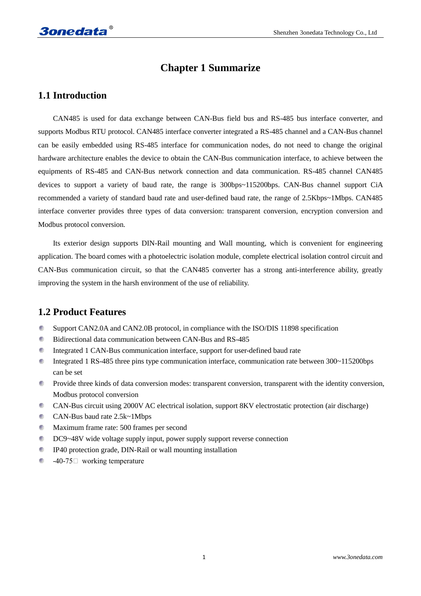## **Chapter 1 Summarize**

## **1.1 Introduction**

CAN485 is used for data exchange between CAN-Bus field bus and RS-485 bus interface converter, and supports Modbus RTU protocol. CAN485 interface converter integrated a RS-485 channel and a CAN-Bus channel can be easily embedded using RS-485 interface for communication nodes, do not need to change the original hardware architecture enables the device to obtain the CAN-Bus communication interface, to achieve between the equipments of RS-485 and CAN-Bus network connection and data communication. RS-485 channel CAN485 devices to support a variety of baud rate, the range is 300bps~115200bps. CAN-Bus channel support CiA recommended a variety of standard baud rate and user-defined baud rate, the range of 2.5Kbps~1Mbps. CAN485 interface converter provides three types of data conversion: transparent conversion, encryption conversion and Modbus protocol conversion.

Its exterior design supports DIN-Rail mounting and Wall mounting, which is convenient for engineering application. The board comes with a photoelectric isolation module, complete electrical isolation control circuit and CAN-Bus communication circuit, so that the CAN485 converter has a strong anti-interference ability, greatly improving the system in the harsh environment of the use of reliability.

## **1.2 Product Features**

- d. Support CAN2.0A and CAN2.0B protocol, in compliance with the ISO/DIS 11898 specification
- Bidirectional data communication between CAN-Bus and RS-485 G)
- C. Integrated 1 CAN-Bus communication interface, support for user-defined baud rate
- C) Integrated 1 RS-485 three pins type communication interface, communication rate between 300~115200bps can be set
- $\mathcal{L}_{\mathcal{A}}$ Provide three kinds of data conversion modes: transparent conversion, transparent with the identity conversion, Modbus protocol conversion
- C. CAN-Bus circuit using 2000V AC electrical isolation, support 8KV electrostatic protection (air discharge)
- CAN-Bus baud rate 2.5k~1Mbps
- **Maximum frame rate: 500 frames per second**
- DC9~48V wide voltage supply input, power supply support reverse connection
- IP40 protection grade, DIN-Rail or wall mounting installation C.
- C. -40-75℃ working temperature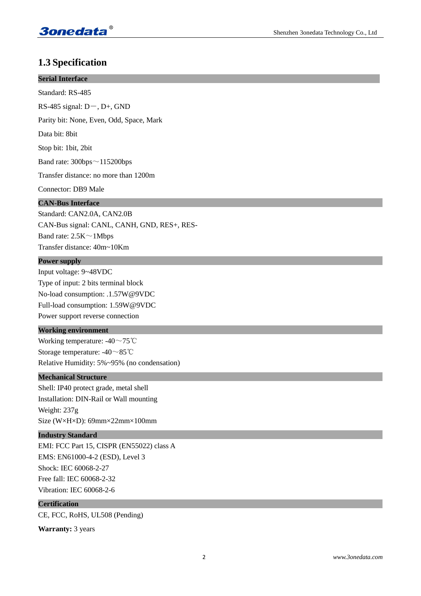

## **1.3 Specification**

| <b>THE PLANTICALITY</b>                      |
|----------------------------------------------|
| <b>Serial Interface</b>                      |
| Standard: RS-485                             |
| RS-485 signal: $D-$ , $D+$ , GND             |
| Parity bit: None, Even, Odd, Space, Mark     |
| Data bit: 8bit                               |
| Stop bit: 1bit, 2bit                         |
| Band rate: $300bps \sim 115200bps$           |
| Transfer distance: no more than 1200m        |
| Connector: DB9 Male                          |
| <b>CAN-Bus Interface</b>                     |
| Standard: CAN2.0A, CAN2.0B                   |
| CAN-Bus signal: CANL, CANH, GND, RES+, RES-  |
| Band rate: $2.5K \sim 1Mbps$                 |
| Transfer distance: 40m~10Km                  |
| <b>Power supply</b>                          |
| Input voltage: 9~48VDC                       |
| Type of input: 2 bits terminal block         |
| No-load consumption: .1.57W@9VDC             |
| Full-load consumption: 1.59W@9VDC            |
| Power support reverse connection             |
| <b>Working environment</b>                   |
| Working temperature: -40 $\sim$ 75°C         |
| Storage temperature: $-40 \sim 85^{\circ}$ C |
| Relative Humidity: 5%~95% (no condensation)  |
| <b>Mechanical Structure</b>                  |
| Shell: IP40 protect grade, metal shell       |
| Installation: DIN-Rail or Wall mounting      |
| Weight: 237g                                 |
| Size (W×H×D): 69mm×22mm×100mm                |
| <b>Industry Standard</b>                     |
| EMI: FCC Part 15, CISPR (EN55022) class A    |
| EMS: EN61000-4-2 (ESD), Level 3              |
| Shock: IEC 60068-2-27                        |
| Free fall: IEC 60068-2-32                    |
| Vibration: IEC 60068-2-6                     |

## **Certification**

CE, FCC, RoHS, UL508 (Pending)

**Warranty:** 3 years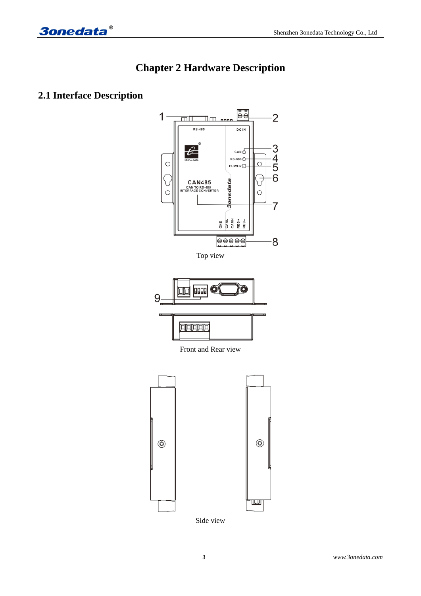



## **2.1 Interface Description**

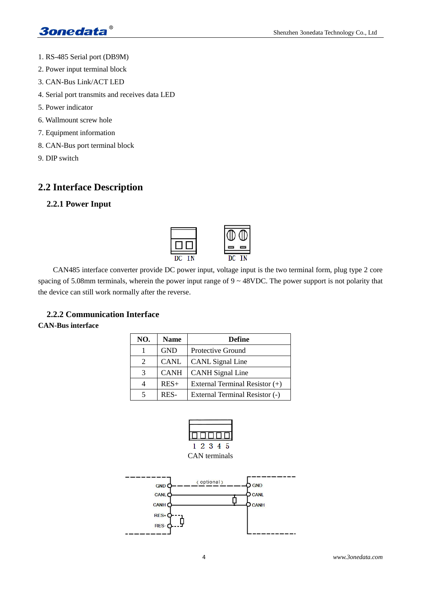- 1. RS-485 Serial port (DB9M)
- 2. Power input terminal block
- 3. CAN-Bus Link/ACT LED
- 4. Serial port transmits and receives data LED
- 5. Power indicator
- 6. Wallmount screw hole
- 7. Equipment information
- 8. CAN-Bus port terminal block
- 9. DIP switch

## **2.2 Interface Description**

## **2.2.1 Power Input**



CAN485 interface converter provide DC power input, voltage input is the two terminal form, plug type 2 core spacing of 5.08mm terminals, wherein the power input range of  $9 \sim 48$ VDC. The power support is not polarity that the device can still work normally after the reverse.

## **2.2.2 Communication Interface**

## **CAN-Bus interface**

| NO. | <b>Name</b> | <b>Define</b>                  |
|-----|-------------|--------------------------------|
|     | <b>GND</b>  | Protective Ground              |
| 2   | <b>CANL</b> | <b>CANL</b> Signal Line        |
| 3   | <b>CANH</b> | <b>CANH</b> Signal Line        |
|     | $RES+$      | External Terminal Resistor (+) |
|     | RES-        | External Terminal Resistor (-) |



CAN terminals

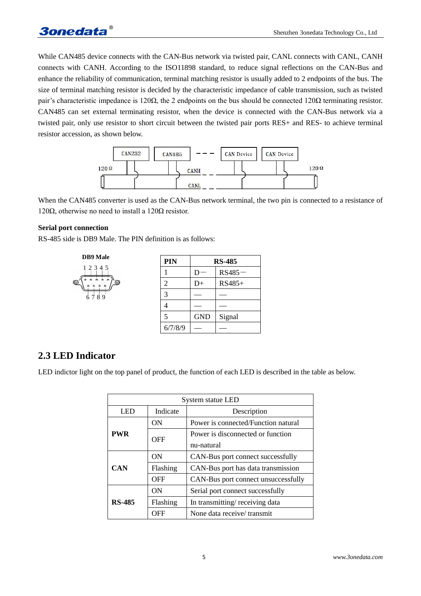While CAN485 device connects with the CAN-Bus network via twisted pair, CANL connects with CANL, CANH connects with CANH. According to the ISO11898 standard, to reduce signal reflections on the CAN-Bus and enhance the reliability of communication, terminal matching resistor is usually added to 2 endpoints of the bus. The size of terminal matching resistor is decided by the characteristic impedance of cable transmission, such as twisted pair's characteristic impedance is 120 $\Omega$ , the 2 endpoints on the bus should be connected 120 $\Omega$  terminating resistor. CAN485 can set external terminating resistor, when the device is connected with the CAN-Bus network via a twisted pair, only use resistor to short circuit between the twisted pair ports RES+ and RES- to achieve terminal resistor accession, as shown below.



When the CAN485 converter is used as the CAN-Bus network terminal, the two pin is connected to a resistance of 120 $Ω$ , otherwise no need to install a 120 $Ω$  resistor.

#### **Serial port connection**

RS-485 side is DB9 Male. The PIN definition is as follows:



## **2.3 LED Indicator**

LED indictor light on the top panel of product, the function of each LED is described in the table as below.

| System statue LED |          |                                     |  |
|-------------------|----------|-------------------------------------|--|
| <b>LED</b>        | Indicate | Description                         |  |
|                   | ON       | Power is connected/Function natural |  |
| <b>PWR</b>        | OFF      | Power is disconnected or function   |  |
|                   |          | nu-natural                          |  |
|                   | ON       | CAN-Bus port connect successfully   |  |
| <b>CAN</b>        | Flashing | CAN-Bus port has data transmission  |  |
|                   | OFF      | CAN-Bus port connect unsuccessfully |  |
|                   | ON       | Serial port connect successfully    |  |
| <b>RS-485</b>     | Flashing | In transmitting/receiving data      |  |
|                   | OFF      | None data receive/transmit          |  |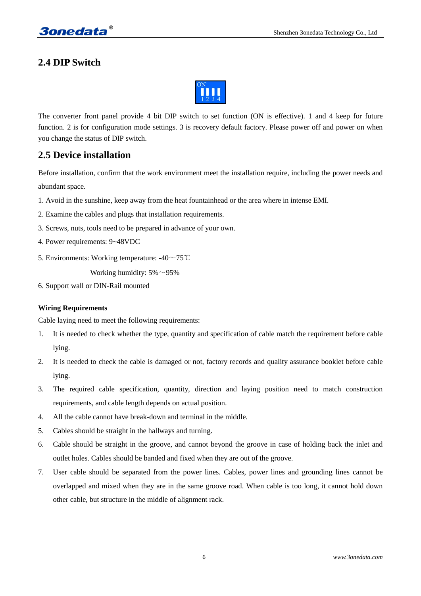## **2.4 DIP Switch**



The converter front panel provide 4 bit DIP switch to set function (ON is effective). 1 and 4 keep for future function. 2 is for configuration mode settings. 3 is recovery default factory. Please power off and power on when you change the status of DIP switch.

## **2.5 Device installation**

Before installation, confirm that the work environment meet the installation require, including the power needs and abundant space.

- 1. Avoid in the sunshine, keep away from the heat fountainhead or the area where in intense EMI.
- 2. Examine the cables and plugs that installation requirements.
- 3. Screws, nuts, tools need to be prepared in advance of your own.
- 4. Power requirements: 9~48VDC
- 5. Environments: Working temperature: -40~75℃

Working humidity:  $5\% \sim 95\%$ 

6. Support wall or DIN-Rail mounted

#### **Wiring Requirements**

Cable laying need to meet the following requirements:

- 1. It is needed to check whether the type, quantity and specification of cable match the requirement before cable lying.
- 2. It is needed to check the cable is damaged or not, factory records and quality assurance booklet before cable lying.
- 3. The required cable specification, quantity, direction and laying position need to match construction requirements, and cable length depends on actual position.
- 4. All the cable cannot have break-down and terminal in the middle.
- 5. Cables should be straight in the hallways and turning.
- 6. Cable should be straight in the groove, and cannot beyond the groove in case of holding back the inlet and outlet holes. Cables should be banded and fixed when they are out of the groove.
- 7. User cable should be separated from the power lines. Cables, power lines and grounding lines cannot be overlapped and mixed when they are in the same groove road. When cable is too long, it cannot hold down other cable, but structure in the middle of alignment rack.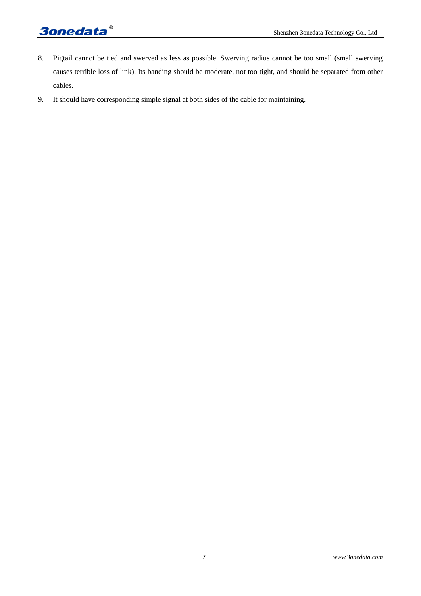# **3onedata**®

- 8. Pigtail cannot be tied and swerved as less as possible. Swerving radius cannot be too small (small swerving causes terrible loss of link). Its banding should be moderate, not too tight, and should be separated from other cables.
- 9. It should have corresponding simple signal at both sides of the cable for maintaining.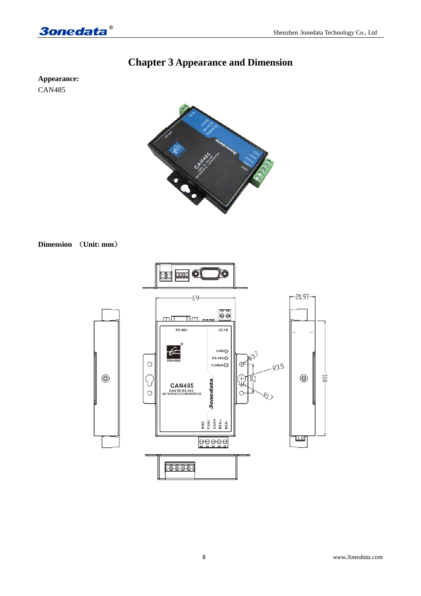

# **Chapter 3 Appearance and Dimension**

**Appearance:** CAN485



## **Dimension** (**Unit: mm**)

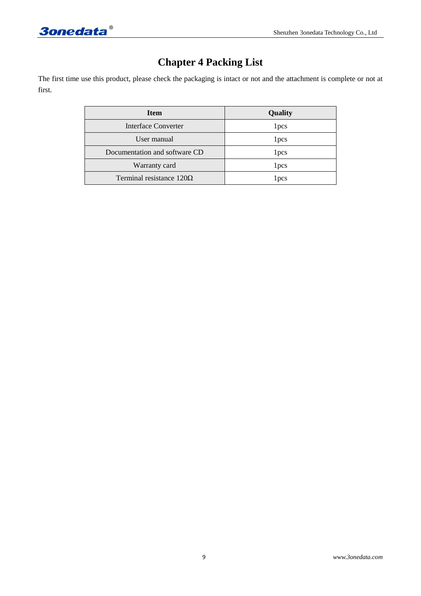# **Chapter 4 Packing List**

The first time use this product, please check the packaging is intact or not and the attachment is complete or not at first.

| <b>Item</b>                     | Quality          |
|---------------------------------|------------------|
| Interface Converter             | 1 pcs            |
| User manual                     | 1 pcs            |
| Documentation and software CD   | 1 pcs            |
| Warranty card                   | 1 <sub>pcs</sub> |
| Terminal resistance $120\Omega$ | l pcs            |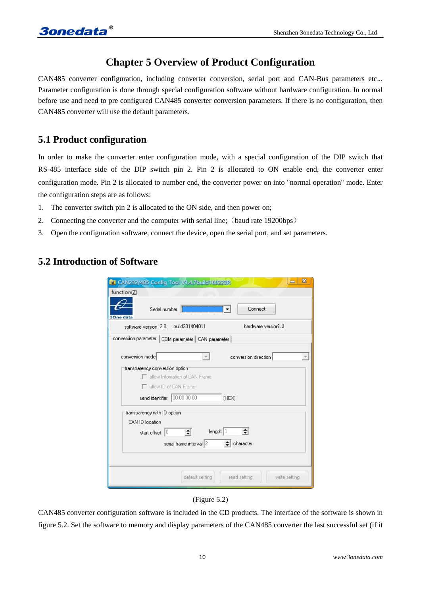# **Chapter 5 Overview of Product Configuration**

CAN485 converter configuration, including converter conversion, serial port and CAN-Bus parameters etc... Parameter configuration is done through special configuration software without hardware configuration. In normal before use and need to pre configured CAN485 converter conversion parameters. If there is no configuration, then CAN485 converter will use the default parameters.

## **5.1 Product configuration**

In order to make the converter enter configuration mode, with a special configuration of the DIP switch that RS-485 interface side of the DIP switch pin 2. Pin 2 is allocated to ON enable end, the converter enter configuration mode. Pin 2 is allocated to number end, the converter power on into "normal operation" mode. Enter the configuration steps are as follows:

- 1. The converter switch pin 2 is allocated to the ON side, and then power on;
- 2. Connecting the converter and the computer with serial line; (baud rate 19200bps)
- 3. Open the configuration software, connect the device, open the serial port, and set parameters.

## **5.2 Introduction of Software**

| $\mathbf{x}$<br><b>M</b> CAN232/485 Config Tool V1.4.7build160223R |
|--------------------------------------------------------------------|
| function(Z)                                                        |
| Connect<br>Serial number<br><b>3One data</b>                       |
| hardware version1.0<br>build201404011<br>software version 2.0      |
| conversion parameter   COM parameter   CAN parameter               |
| conversion mode<br>conversion direction                            |
| transparency conversion option                                     |
| allow Infomation of CAN Frame                                      |
| allow ID of CAN Frame                                              |
| send identifier 00 00 00 00<br>(HEX)                               |
| transparency with ID optiom                                        |
| CAN ID location                                                    |
| length: 1<br>10<br>÷<br>start offset                               |
| serial frame interval 2<br>character                               |
|                                                                    |
| default setting<br>read setting<br>write setting                   |

(Figure 5.2)

CAN485 converter configuration software is included in the CD products. The interface of the software is shown in figure 5.2. Set the software to memory and display parameters of the CAN485 converter the last successful set (if it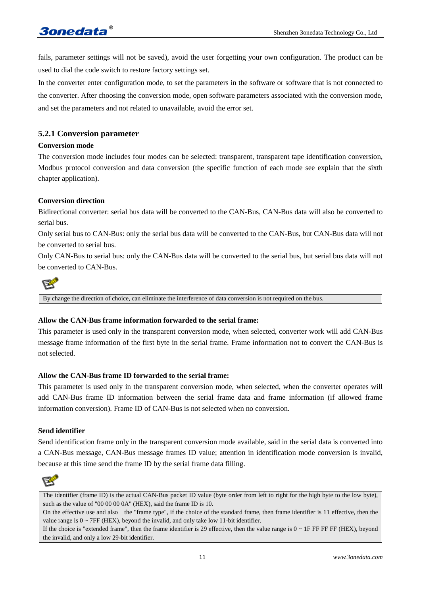fails, parameter settings will not be saved), avoid the user forgetting your own configuration. The product can be used to dial the code switch to restore factory settings set.

In the converter enter configuration mode, to set the parameters in the software or software that is not connected to the converter. After choosing the conversion mode, open software parameters associated with the conversion mode, and set the parameters and not related to unavailable, avoid the error set.

## **5.2.1 Conversion parameter**

#### **Conversion mode**

The conversion mode includes four modes can be selected: transparent, transparent tape identification conversion, Modbus protocol conversion and data conversion (the specific function of each mode see explain that the sixth chapter application).

#### **Conversion direction**

Bidirectional converter: serial bus data will be converted to the CAN-Bus, CAN-Bus data will also be converted to serial bus.

Only serial bus to CAN-Bus: only the serial bus data will be converted to the CAN-Bus, but CAN-Bus data will not be converted to serial bus.

Only CAN-Bus to serial bus: only the CAN-Bus data will be converted to the serial bus, but serial bus data will not be converted to CAN-Bus.



By change the direction of choice, can eliminate the interference of data conversion is not required on the bus.

#### **Allow the CAN-Bus frame information forwarded to the serial frame:**

This parameter is used only in the transparent conversion mode, when selected, converter work will add CAN-Bus message frame information of the first byte in the serial frame. Frame information not to convert the CAN-Bus is not selected.

#### **Allow the CAN-Bus frame ID forwarded to the serial frame:**

This parameter is used only in the transparent conversion mode, when selected, when the converter operates will add CAN-Bus frame ID information between the serial frame data and frame information (if allowed frame information conversion). Frame ID of CAN-Bus is not selected when no conversion.

#### **Send identifier**

Send identification frame only in the transparent conversion mode available, said in the serial data is converted into a CAN-Bus message, CAN-Bus message frames ID value; attention in identification mode conversion is invalid, because at this time send the frame ID by the serial frame data filling.



The identifier (frame ID) is the actual CAN-Bus packet ID value (byte order from left to right for the high byte to the low byte), such as the value of "00 00 00 0A" (HEX), said the frame ID is 10.

On the effective use and also the "frame type", if the choice of the standard frame, then frame identifier is 11 effective, then the value range is  $0 \sim 7FF$  (HEX), beyond the invalid, and only take low 11-bit identifier.

If the choice is "extended frame", then the frame identifier is 29 effective, then the value range is  $0 \sim 1$ F FF FF FF (HEX), beyond the invalid, and only a low 29-bit identifier.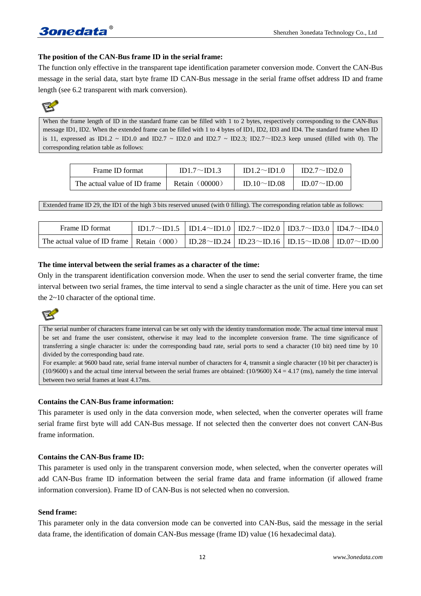## **The position of the CAN-Bus frame ID in the serial frame:**

The function only effective in the transparent tape identification parameter conversion mode. Convert the CAN-Bus message in the serial data, start byte frame ID CAN-Bus message in the serial frame offset address ID and frame length (see 6.2 transparent with mark conversion).



When the frame length of ID in the standard frame can be filled with 1 to 2 bytes, respectively corresponding to the CAN-Bus message ID1, ID2. When the extended frame can be filled with 1 to 4 bytes of ID1, ID2, ID3 and ID4. The standard frame when ID is 11, expressed as ID1.2 ~ ID1.0 and ID2.7 ~ ID2.0 and ID2.7 ~ ID2.3; ID2.7~ID2.3 keep unused (filled with 0). The corresponding relation table as follows:

| Frame ID format              | ID1.7 $\sim$ ID1.3 | ID1.2 $\sim$ ID1.0 | $ID2.7 \sim ID2.0$ |
|------------------------------|--------------------|--------------------|--------------------|
| The actual value of ID frame | Retain (00000)     | ID.10 $\sim$ ID.08 | $ID.07 \sim ID.00$ |

Extended frame ID 29, the ID1 of the high 3 bits reserved unused (with 0 filling). The corresponding relation table as follows:

| Frame ID format                                                                       | ID1.7~ID1.5   ID1.4~ID1.0   ID2.7~ID2.0   ID3.7~ID3.0   ID4.7~ID4.0 |  |  |
|---------------------------------------------------------------------------------------|---------------------------------------------------------------------|--|--|
| The actual value of ID frame Retain (000) D.28~ID.24 D.23~ID.16 D.15~ID.08 D.07~ID.00 |                                                                     |  |  |

#### **The time interval between the serial frames as a character of the time:**

Only in the transparent identification conversion mode. When the user to send the serial converter frame, the time interval between two serial frames, the time interval to send a single character as the unit of time. Here you can set the 2~10 character of the optional time.



The serial number of characters frame interval can be set only with the identity transformation mode. The actual time interval must be set and frame the user consistent, otherwise it may lead to the incomplete conversion frame. The time significance of transferring a single character is: under the corresponding baud rate, serial ports to send a character (10 bit) need time by 10 divided by the corresponding baud rate.

For example: at 9600 baud rate, serial frame interval number of characters for 4, transmit a single character (10 bit per character) is (10/9600) s and the actual time interval between the serial frames are obtained: (10/9600)  $X4 = 4.17$  (ms), namely the time interval between two serial frames at least 4.17ms.

#### **Contains the CAN-Bus frame information:**

This parameter is used only in the data conversion mode, when selected, when the converter operates will frame serial frame first byte will add CAN-Bus message. If not selected then the converter does not convert CAN-Bus frame information.

#### **Contains the CAN-Bus frame ID:**

This parameter is used only in the transparent conversion mode, when selected, when the converter operates will add CAN-Bus frame ID information between the serial frame data and frame information (if allowed frame information conversion). Frame ID of CAN-Bus is not selected when no conversion.

#### **Send frame:**

This parameter only in the data conversion mode can be converted into CAN-Bus, said the message in the serial data frame, the identification of domain CAN-Bus message (frame ID) value (16 hexadecimal data).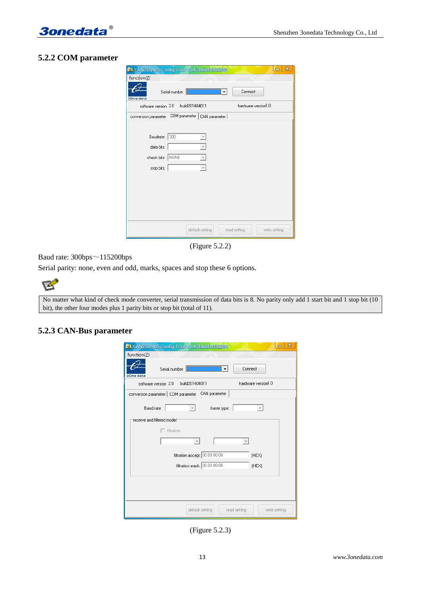



## **5.2.2 COM parameter**

| $\mathbf{x}$<br><b>R</b> CAN232/485 Config Tool V1.4.7build160223R<br>$\equiv$ |
|--------------------------------------------------------------------------------|
| function( $Z$ )                                                                |
| Serial number<br>Connect<br>I۳<br>3One data                                    |
| hardware version1.0<br>software version 2.0<br>build201404011                  |
| COM parameter   CAN parameter  <br>conversion parameter                        |
|                                                                                |
| Baudrate: 300<br>v                                                             |
| data bits:<br>$\overline{\phantom{a}}$                                         |
| check bits: NONE                                                               |
| stop bits:<br>۸                                                                |
|                                                                                |
|                                                                                |
|                                                                                |
|                                                                                |
|                                                                                |
| default setting<br>write setting<br>read setting                               |

(Figure 5.2.2)

Baud rate: 300bps~115200bps

Serial parity: none, even and odd, marks, spaces and stop these 6 options.

B

No matter what kind of check mode converter, serial transmission of data bits is 8. No parity only add 1 start bit and 1 stop bit (10 bit), the other four modes plus 1 parity bits or stop bit (total of 11).

## **5.2.3 CAN-Bus parameter**

| $\mathbf{x}$<br><b>R</b> CAN232/485 Config Tool V1.4.7build160223R |
|--------------------------------------------------------------------|
| function(Z)                                                        |
| Connect<br>Serial number<br>▼<br>3One data                         |
| hardware version1.0<br>software version 2.0 build201404011         |
| CAN parameter<br>conversion parameter   COM parameter              |
| Baud rate:<br>frame type:                                          |
| receive and filtered model <sup>-</sup>                            |
| $\Box$ filtration                                                  |
|                                                                    |
| filtration accept: 00 00 00 00<br>(HEX)                            |
| filtration mask: 00 00 00 00<br>(HEX)                              |
|                                                                    |
|                                                                    |
|                                                                    |
| default setting<br>read setting<br>write setting                   |

(Figure 5.2.3)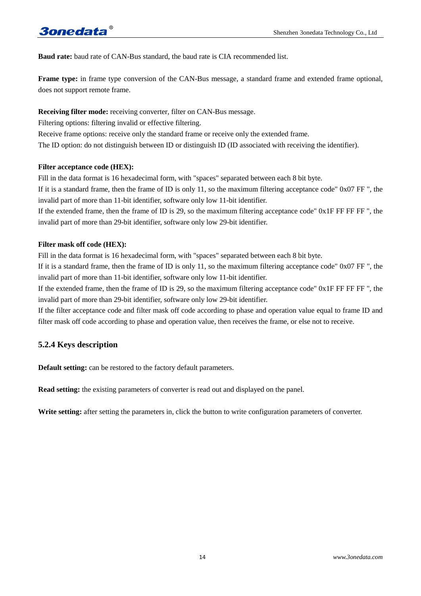**Baud rate:** baud rate of CAN-Bus standard, the baud rate is CIA recommended list.

**Frame type:** in frame type conversion of the CAN-Bus message, a standard frame and extended frame optional, does not support remote frame.

## **Receiving filter mode:** receiving converter, filter on CAN-Bus message.

Filtering options: filtering invalid or effective filtering.

Receive frame options: receive only the standard frame or receive only the extended frame.

The ID option: do not distinguish between ID or distinguish ID (ID associated with receiving the identifier).

#### **Filter acceptance code (HEX):**

Fill in the data format is 16 hexadecimal form, with "spaces" separated between each 8 bit byte.

If it is a standard frame, then the frame of ID is only 11, so the maximum filtering acceptance code" 0x07 FF ", the invalid part of more than 11-bit identifier, software only low 11-bit identifier.

If the extended frame, then the frame of ID is 29, so the maximum filtering acceptance code" 0x1F FF FF FF ", the invalid part of more than 29-bit identifier, software only low 29-bit identifier.

## **Filter mask off code (HEX):**

Fill in the data format is 16 hexadecimal form, with "spaces" separated between each 8 bit byte.

If it is a standard frame, then the frame of ID is only 11, so the maximum filtering acceptance code" 0x07 FF ", the invalid part of more than 11-bit identifier, software only low 11-bit identifier.

If the extended frame, then the frame of ID is 29, so the maximum filtering acceptance code"  $0x1F$  FF FF FF  $\ddot{\text{F}}$  FF FF  $\ddot{\text{F}}$ invalid part of more than 29-bit identifier, software only low 29-bit identifier.

If the filter acceptance code and filter mask off code according to phase and operation value equal to frame ID and filter mask off code according to phase and operation value, then receives the frame, or else not to receive.

## **5.2.4 Keys description**

**Default setting:** can be restored to the factory default parameters.

**Read setting:** the existing parameters of converter is read out and displayed on the panel.

Write setting: after setting the parameters in, click the button to write configuration parameters of converter.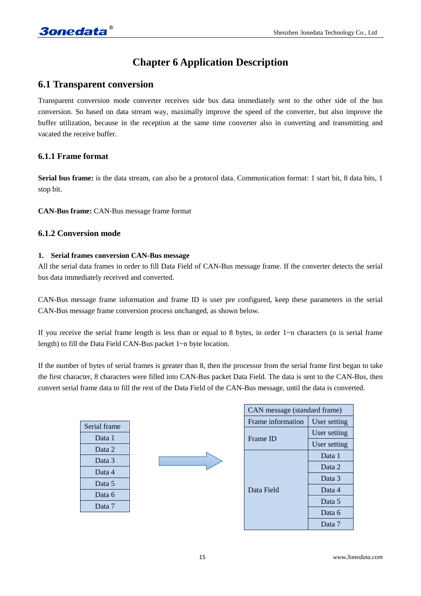# **Chapter 6 Application Description**

## **6.1 Transparent conversion**

Transparent conversion mode converter receives side bus data immediately sent to the other side of the bus conversion. So based on data stream way, maximally improve the speed of the converter, but also improve the buffer utilization, because in the reception at the same time converter also in converting and transmitting and vacated the receive buffer.

## **6.1.1 Frame format**

**Serial bus frame:** is the data stream, can also be a protocol data. Communication format: 1 start bit, 8 data bits, 1 stop bit.

**CAN-Bus frame:** CAN-Bus message frame format

## **6.1.2 Conversion mode**

## **1. Serial frames conversion CAN-Bus message**

All the serial data frames in order to fill Data Field of CAN-Bus message frame. If the converter detects the serial bus data immediately received and converted.

CAN-Bus message frame information and frame ID is user pre configured, keep these parameters in the serial CAN-Bus message frame conversion process unchanged, as shown below.

If you receive the serial frame length is less than or equal to 8 bytes, in order  $1\neg n$  characters (n is serial frame length) to fill the Data Field CAN-Bus packet 1~n byte location.

If the number of bytes of serial frames is greater than 8, then the processor from the serial frame first began to take the first character, 8 characters were filled into CAN-Bus packet Data Field. The data is sent to the CAN-Bus, then convert serial frame data to fill the rest of the Data Field of the CAN-Bus message, until the data is converted.

| Serial frame |
|--------------|
| Data 1       |
| Data 2       |
| Data 3       |
| Data 4       |
| Data 5       |
| Data 6       |
| Data 7       |



| CAN message (standard frame) |              |
|------------------------------|--------------|
| Frame information            | User setting |
|                              | User setting |
| Frame ID                     | User setting |
|                              | Data 1       |
|                              | Data 2       |
|                              | Data 3       |
| Data Field                   | Data 4       |
|                              | Data 5       |
|                              | Data 6       |
|                              | Data 7       |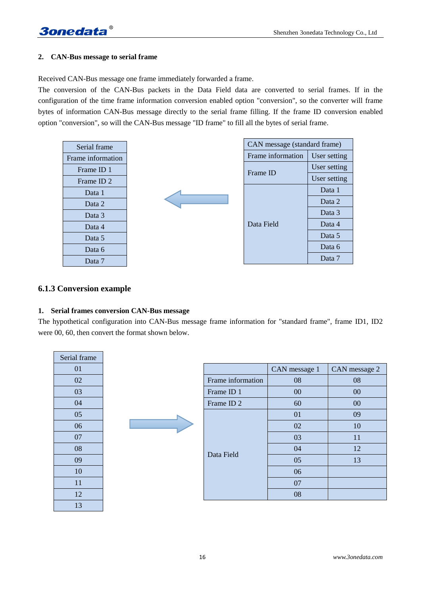## **2. CAN-Bus message to serial frame**

Received CAN-Bus message one frame immediately forwarded a frame.

The conversion of the CAN-Bus packets in the Data Field data are converted to serial frames. If in the configuration of the time frame information conversion enabled option "conversion", so the converter will frame bytes of information CAN-Bus message directly to the serial frame filling. If the frame ID conversion enabled option "conversion", so will the CAN-Bus message "ID frame" to fill all the bytes of serial frame.

| Serial frame          |  | CAN message (standard frame) |              |
|-----------------------|--|------------------------------|--------------|
| Frame information     |  | Frame information            | User setting |
| Frame ID 1            |  | Frame ID                     | User setting |
| Frame ID <sub>2</sub> |  |                              | User setting |
| Data 1                |  |                              | Data 1       |
| Data 2                |  |                              | Data 2       |
| Data 3                |  |                              | Data 3       |
| Data 4                |  | Data Field                   | Data 4       |
| Data 5                |  |                              | Data 5       |
| Data 6                |  |                              | Data 6       |
| Data 7                |  |                              | Data 7       |

## **6.1.3 Conversion example**

#### **1. Serial frames conversion CAN-Bus message**

The hypothetical configuration into CAN-Bus message frame information for "standard frame", frame ID1, ID2 were 00, 60, then convert the format shown below.

| Serial frame |  |                       |               |               |
|--------------|--|-----------------------|---------------|---------------|
| 01           |  |                       | CAN message 1 | CAN message 2 |
| 02           |  | Frame information     | 08            | 08            |
| 03           |  | Frame ID 1            | 00            | 00            |
| 04           |  | Frame ID <sub>2</sub> | 60            | $00\,$        |
| 05           |  |                       | 01            | 09            |
| 06           |  |                       | 02            | 10            |
| 07           |  |                       | 03            | 11            |
| 08           |  | Data Field            | 04            | 12            |
| 09           |  |                       | 05            | 13            |
| 10           |  |                       | 06            |               |
| 11           |  |                       | 07            |               |
| 12           |  |                       | 08            |               |
| 13           |  |                       |               |               |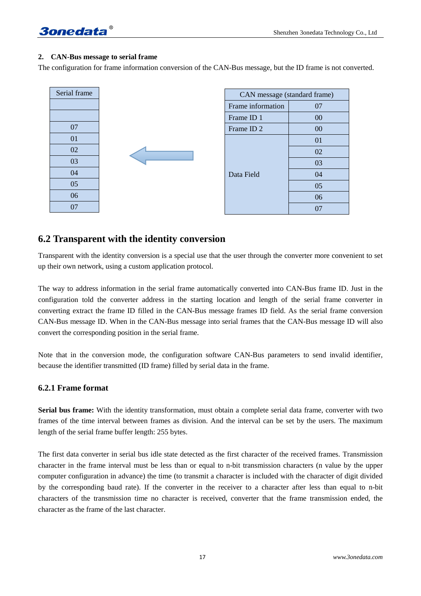

#### **2. CAN-Bus message to serial frame**

The configuration for frame information conversion of the CAN-Bus message, but the ID frame is not converted.

| Serial frame |  |
|--------------|--|
|              |  |
|              |  |
| 07           |  |
| 01           |  |
| $02\,$       |  |
| 03           |  |
| 04           |  |
| 05           |  |
| 06           |  |
| 07           |  |

| CAN message (standard frame) |                |
|------------------------------|----------------|
| Frame information            | 07             |
| Frame ID 1                   | 00             |
| Frame ID <sub>2</sub>        | 0 <sub>0</sub> |
| Data Field                   | 01             |
|                              | 02             |
|                              | 03             |
|                              | 04             |
|                              | 05             |
|                              | 06             |
|                              |                |

## **6.2 Transparent with the identity conversion**

Transparent with the identity conversion is a special use that the user through the converter more convenient to set up their own network, using a custom application protocol.

The way to address information in the serial frame automatically converted into CAN-Bus frame ID. Just in the configuration told the converter address in the starting location and length of the serial frame converter in converting extract the frame ID filled in the CAN-Bus message frames ID field. As the serial frame conversion CAN-Bus message ID. When in the CAN-Bus message into serial frames that the CAN-Bus message ID will also convert the corresponding position in the serial frame.

Note that in the conversion mode, the configuration software CAN-Bus parameters to send invalid identifier, because the identifier transmitted (ID frame) filled by serial data in the frame.

#### **6.2.1 Frame format**

**Serial bus frame:** With the identity transformation, must obtain a complete serial data frame, converter with two frames of the time interval between frames as division. And the interval can be set by the users. The maximum length of the serial frame buffer length: 255 bytes.

The first data converter in serial bus idle state detected as the first character of the received frames. Transmission character in the frame interval must be less than or equal to n-bit transmission characters (n value by the upper computer configuration in advance) the time (to transmit a character is included with the character of digit divided by the corresponding baud rate). If the converter in the receiver to a character after less than equal to n-bit characters of the transmission time no character is received, converter that the frame transmission ended, the character as the frame of the last character.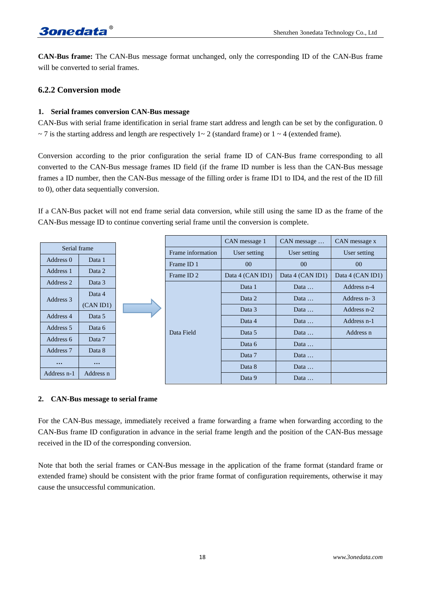**CAN-Bus frame:** The CAN-Bus message format unchanged, only the corresponding ID of the CAN-Bus frame will be converted to serial frames.

## **6.2.2 Conversion mode**

## **1. Serial frames conversion CAN-Bus message**

CAN-Bus with serial frame identification in serial frame start address and length can be set by the configuration. 0  $\sim$  7 is the starting address and length are respectively 1 $\sim$  2 (standard frame) or 1  $\sim$  4 (extended frame).

Conversion according to the prior configuration the serial frame ID of CAN-Bus frame corresponding to all converted to the CAN-Bus message frames ID field (if the frame ID number is less than the CAN-Bus message frames a ID number, then the CAN-Bus message of the filling order is frame ID1 to ID4, and the rest of the ID fill to 0), other data sequentially conversion.

If a CAN-Bus packet will not end frame serial data conversion, while still using the same ID as the frame of the CAN-Bus message ID to continue converting serial frame until the conversion is complete.

|              |           |  |                       | CAN message 1    | CAN message      | CAN message x    |
|--------------|-----------|--|-----------------------|------------------|------------------|------------------|
| Serial frame |           |  | Frame information     | User setting     | User setting     | User setting     |
| Address 0    | Data 1    |  | Frame ID 1            | 0 <sup>0</sup>   | 0 <sup>0</sup>   | 0 <sup>0</sup>   |
| Address 1    | Data 2    |  | Frame ID <sub>2</sub> | Data 4 (CAN ID1) | Data 4 (CAN ID1) | Data 4 (CAN ID1) |
| Address 2    | Data 3    |  |                       | Data 1           | Data             | Address n-4      |
| Address 3    | Data 4    |  |                       | Data 2           | Data             | Address n-3      |
|              | (CAN ID1) |  |                       | Data 3           | Data             | Address n-2      |
| Address 4    | Data 5    |  |                       |                  |                  |                  |
| Address 5    | Data 6    |  |                       | Data 4           | Data             | Address n-1      |
| Address 6    | Data 7    |  | Data Field            | Data 5           | Data             | Address n        |
| Address 7    | Data 8    |  |                       | Data 6           | Data             |                  |
|              |           |  |                       | Data 7           | Data             |                  |
| $\cdots$     | $\cdots$  |  |                       | Data 8           | Data             |                  |
| Address n-1  | Address n |  |                       | Data 9           | Data             |                  |

#### **2. CAN-Bus message to serial frame**

For the CAN-Bus message, immediately received a frame forwarding a frame when forwarding according to the CAN-Bus frame ID configuration in advance in the serial frame length and the position of the CAN-Bus message received in the ID of the corresponding conversion.

Note that both the serial frames or CAN-Bus message in the application of the frame format (standard frame or extended frame) should be consistent with the prior frame format of configuration requirements, otherwise it may cause the unsuccessful communication.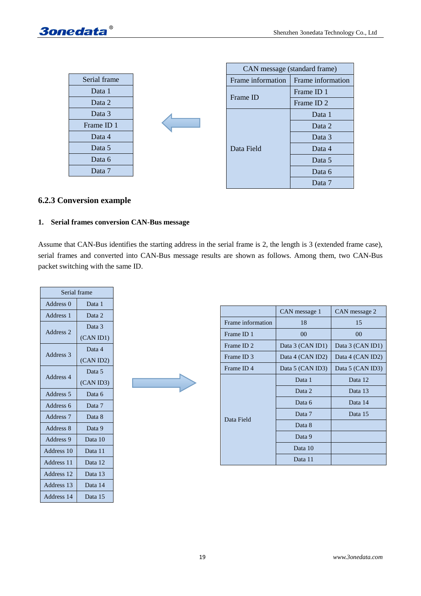

| Serial frame |
|--------------|
| Data 1       |
| Data 2       |
| Data 3       |
| Frame ID 1   |
| Data 4       |
| Data 5       |
| Data 6       |
| Data 7       |

| CAN message (standard frame) |                       |
|------------------------------|-----------------------|
| Frame information            | Frame information     |
|                              | Frame ID 1            |
| Frame ID                     | Frame ID <sub>2</sub> |
|                              | Data 1                |
|                              | Data 2                |
|                              | Data 3                |
| Data Field                   | Data 4                |
|                              | Data 5                |
|                              | Data 6                |
|                              | Data 7                |

## **6.2.3 Conversion example**

#### **1. Serial frames conversion CAN-Bus message**

Assume that CAN-Bus identifies the starting address in the serial frame is 2, the length is 3 (extended frame case), serial frames and converted into CAN-Bus message results are shown as follows. Among them, two CAN-Bus packet switching with the same ID.

| Serial frame         |           |
|----------------------|-----------|
| Address <sub>0</sub> | Data 1    |
| Address 1            | Data 2    |
|                      | Data 3    |
| Address 2            | (CAN ID1) |
|                      | Data 4    |
| Address 3            | (CAN ID2) |
|                      | Data 5    |
| Address 4            | (CAN ID3) |
| Address <sub>5</sub> | Data 6    |
| Address 6            | Data 7    |
| Address <sub>7</sub> | Data 8    |
| Address 8            | Data 9    |
| Address 9            | Data 10   |
| Address 10           | Data 11   |
| Address 11           | Data 12   |
| Address 12           | Data 13   |
| Address 13           | Data 14   |
| Address 14           | Data 15   |



|                   | CAN message 1    | CAN message 2    |
|-------------------|------------------|------------------|
| Frame information | 18               | 15               |
| Frame ID 1        | 00               | 00               |
| Frame ID 2        | Data 3 (CAN ID1) | Data 3 (CAN ID1) |
| Frame ID 3        | Data 4 (CAN ID2) | Data 4 (CAN ID2) |
| Frame ID4         | Data 5 (CAN ID3) | Data 5 (CAN ID3) |
|                   | Data 1           | Data 12          |
|                   | Data 2           | Data 13          |
|                   | Data 6           | Data 14          |
| Data Field        | Data 7           | Data 15          |
|                   | Data 8           |                  |
|                   | Data 9           |                  |
|                   | Data 10          |                  |
|                   | Data 11          |                  |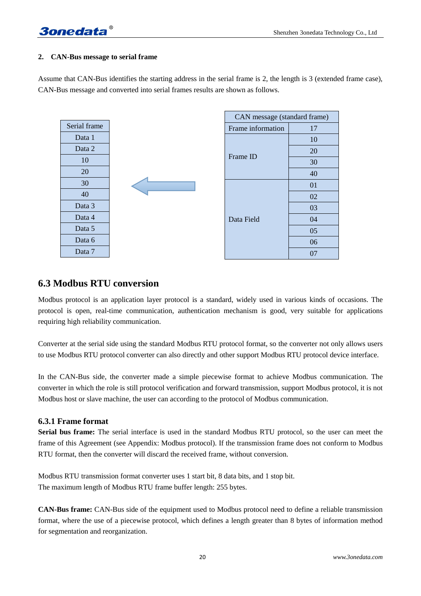## **2. CAN-Bus message to serial frame**

Assume that CAN-Bus identifies the starting address in the serial frame is 2, the length is 3 (extended frame case), CAN-Bus message and converted into serial frames results are shown as follows.

| Serial frame |  |
|--------------|--|
| Data 1       |  |
| Data 2       |  |
| 10           |  |
| 20           |  |
| 30           |  |
| 40           |  |
| Data 3       |  |
| Data 4       |  |
| Data 5       |  |
| Data 6       |  |
| Data 7       |  |

| CAN message (standard frame) |    |  |  |  |
|------------------------------|----|--|--|--|
| Frame information            | 17 |  |  |  |
|                              | 10 |  |  |  |
| Frame ID                     | 20 |  |  |  |
|                              | 30 |  |  |  |
|                              | 40 |  |  |  |
| Data Field                   | 01 |  |  |  |
|                              | 02 |  |  |  |
|                              | 03 |  |  |  |
|                              | 04 |  |  |  |
|                              | 05 |  |  |  |
|                              | 06 |  |  |  |
|                              | 07 |  |  |  |

## **6.3 Modbus RTU conversion**

Modbus protocol is an application layer protocol is a standard, widely used in various kinds of occasions. The protocol is open, real-time communication, authentication mechanism is good, very suitable for applications requiring high reliability communication.

Converter at the serial side using the standard Modbus RTU protocol format, so the converter not only allows users to use Modbus RTU protocol converter can also directly and other support Modbus RTU protocol device interface.

In the CAN-Bus side, the converter made a simple piecewise format to achieve Modbus communication. The converter in which the role is still protocol verification and forward transmission, support Modbus protocol, it is not Modbus host or slave machine, the user can according to the protocol of Modbus communication.

## **6.3.1 Frame format**

**Serial bus frame:** The serial interface is used in the standard Modbus RTU protocol, so the user can meet the frame of this Agreement (see Appendix: Modbus protocol). If the transmission frame does not conform to Modbus RTU format, then the converter will discard the received frame, without conversion.

Modbus RTU transmission format converter uses 1 start bit, 8 data bits, and 1 stop bit. The maximum length of Modbus RTU frame buffer length: 255 bytes.

**CAN-Bus frame:** CAN-Bus side of the equipment used to Modbus protocol need to define a reliable transmission format, where the use of a piecewise protocol, which defines a length greater than 8 bytes of information method for segmentation and reorganization.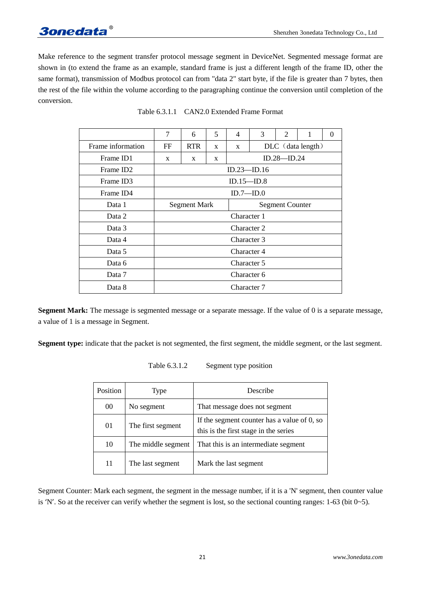# **3onedata**

Make reference to the segment transfer protocol message segment in DeviceNet. Segmented message format are shown in (to extend the frame as an example, standard frame is just a different length of the frame ID, other the same format), transmission of Modbus protocol can from "data 2" start byte, if the file is greater than 7 bytes, then the rest of the file within the volume according to the paragraphing continue the conversion until completion of the conversion.

|                       | 7                   | 6          | 5 | 4                      | 3                   | 2 | 1 | 0 |
|-----------------------|---------------------|------------|---|------------------------|---------------------|---|---|---|
| Frame information     | FF                  | <b>RTR</b> | X | $\mathbf{x}$           | $DLC$ (data length) |   |   |   |
| Frame ID1             | X                   | X          | X | ID.28—ID.24            |                     |   |   |   |
| Frame ID <sub>2</sub> |                     |            |   | ID.23—ID.16            |                     |   |   |   |
| Frame ID3             | ID.15—ID.8          |            |   |                        |                     |   |   |   |
| Frame ID4             | ID.7—ID.0           |            |   |                        |                     |   |   |   |
| Data 1                | <b>Segment Mark</b> |            |   | <b>Segment Counter</b> |                     |   |   |   |
| Data 2                | Character 1         |            |   |                        |                     |   |   |   |
| Data 3                | Character 2         |            |   |                        |                     |   |   |   |
| Data 4                | Character 3         |            |   |                        |                     |   |   |   |
| Data 5                | Character 4         |            |   |                        |                     |   |   |   |
| Data 6                | Character 5         |            |   |                        |                     |   |   |   |
| Data 7                | Character 6         |            |   |                        |                     |   |   |   |
| Data 8                | Character 7         |            |   |                        |                     |   |   |   |

**Segment Mark:** The message is segmented message or a separate message. If the value of 0 is a separate message, a value of 1 is a message in Segment.

**Segment type:** indicate that the packet is not segmented, the first segment, the middle segment, or the last segment.

| Position | Type               | Describe                                                                                |  |  |  |
|----------|--------------------|-----------------------------------------------------------------------------------------|--|--|--|
| 00       | No segment         | That message does not segment                                                           |  |  |  |
| 01       | The first segment  | If the segment counter has a value of $0$ , so<br>this is the first stage in the series |  |  |  |
| 10       | The middle segment | That this is an intermediate segment                                                    |  |  |  |
| 11       | The last segment   | Mark the last segment                                                                   |  |  |  |

Table 6.3.1.2 Segment type position

Segment Counter: Mark each segment, the segment in the message number, if it is a 'N' segment, then counter value is 'N'. So at the receiver can verify whether the segment is lost, so the sectional counting ranges:  $1-63$  (bit  $0-5$ ).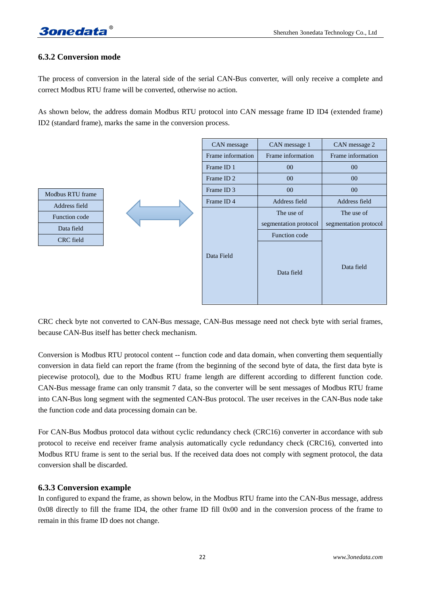## **6.3.2 Conversion mode**

The process of conversion in the lateral side of the serial CAN-Bus converter, will only receive a complete and correct Modbus RTU frame will be converted, otherwise no action.

As shown below, the address domain Modbus RTU protocol into CAN message frame ID ID4 (extended frame) ID2 (standard frame), marks the same in the conversion process.

|                  |  | CAN message           | CAN message 1         | CAN message 2         |
|------------------|--|-----------------------|-----------------------|-----------------------|
|                  |  | Frame information     | Frame information     | Frame information     |
|                  |  | Frame ID 1            | $00\,$                | $00\,$                |
|                  |  | Frame ID <sub>2</sub> | $00\,$                | $00\,$                |
| Modbus RTU frame |  | Frame ID 3            | $00\,$                | $00\,$                |
| Address field    |  | Frame ID4             | Address field         | Address field         |
| Function code    |  |                       | The use of            | The use of            |
| Data field       |  |                       | segmentation protocol | segmentation protocol |
| CRC field        |  |                       | Function code         |                       |
|                  |  | Data Field            | Data field            | Data field            |

CRC check byte not converted to CAN-Bus message, CAN-Bus message need not check byte with serial frames, because CAN-Bus itself has better check mechanism.

Conversion is Modbus RTU protocol content -- function code and data domain, when converting them sequentially conversion in data field can report the frame (from the beginning of the second byte of data, the first data byte is piecewise protocol), due to the Modbus RTU frame length are different according to different function code. CAN-Bus message frame can only transmit 7 data, so the converter will be sent messages of Modbus RTU frame into CAN-Bus long segment with the segmented CAN-Bus protocol. The user receives in the CAN-Bus node take the function code and data processing domain can be.

For CAN-Bus Modbus protocol data without cyclic redundancy check (CRC16) converter in accordance with sub protocol to receive end receiver frame analysis automatically cycle redundancy check (CRC16), converted into Modbus RTU frame is sent to the serial bus. If the received data does not comply with segment protocol, the data conversion shall be discarded.

#### **6.3.3 Conversion example**

In configured to expand the frame, as shown below, in the Modbus RTU frame into the CAN-Bus message, address 0x08 directly to fill the frame ID4, the other frame ID fill 0x00 and in the conversion process of the frame to remain in this frame ID does not change.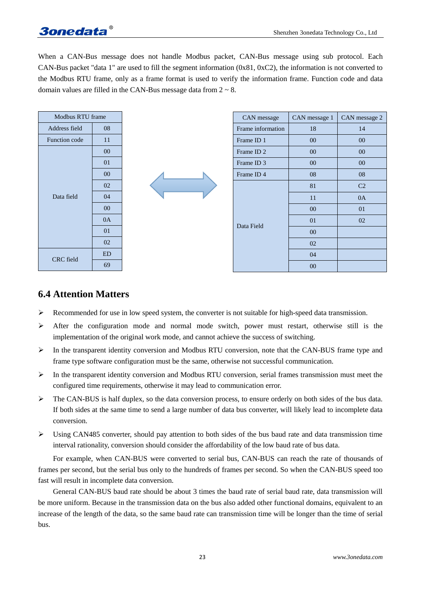When a CAN-Bus message does not handle Modbus packet, CAN-Bus message using sub protocol. Each CAN-Bus packet "data 1" are used to fill the segment information (0x81, 0xC2), the information is not converted to the Modbus RTU frame, only as a frame format is used to verify the information frame. Function code and data domain values are filled in the CAN-Bus message data from  $2 \sim 8$ .

| Modbus RTU frame |           |  | CAN message           | CAN message 1 | CAN message 2  |
|------------------|-----------|--|-----------------------|---------------|----------------|
| Address field    | 08        |  | Frame information     | 18            | 14             |
| Function code    | 11        |  | Frame ID 1            | $00\,$        | $00\,$         |
| Data field       | $00\,$    |  | Frame ID <sub>2</sub> | $00\,$        | $00\,$         |
|                  | 01        |  | Frame ID 3            | $00\,$        | $00\,$         |
|                  | $00\,$    |  | Frame ID <sub>4</sub> | 08            | 08             |
|                  | 02        |  |                       | 81            | C <sub>2</sub> |
|                  | 04        |  |                       | 11            | 0A             |
|                  | $00\,$    |  |                       | $00\,$        | 01             |
|                  | 0A        |  | Data Field            | 01            | 02             |
|                  | 01        |  |                       | $00\,$        |                |
|                  | 02        |  |                       | 02            |                |
| CRC field        | <b>ED</b> |  |                       | 04            |                |
|                  | 69        |  |                       | $00\,$        |                |

## **6.4 Attention Matters**

- $\triangleright$  Recommended for use in low speed system, the converter is not suitable for high-speed data transmission.
- $\triangleright$  After the configuration mode and normal mode switch, power must restart, otherwise still is the implementation of the original work mode, and cannot achieve the success of switching.
- $\triangleright$  In the transparent identity conversion and Modbus RTU conversion, note that the CAN-BUS frame type and frame type software configuration must be the same, otherwise not successful communication.
- $\triangleright$  In the transparent identity conversion and Modbus RTU conversion, serial frames transmission must meet the configured time requirements, otherwise it may lead to communication error.
- $\triangleright$  The CAN-BUS is half duplex, so the data conversion process, to ensure orderly on both sides of the bus data. If both sides at the same time to send a large number of data bus converter, will likely lead to incomplete data conversion.
- $\triangleright$  Using CAN485 converter, should pay attention to both sides of the bus baud rate and data transmission time interval rationality, conversion should consider the affordability of the low baud rate of bus data.

For example, when CAN-BUS were converted to serial bus, CAN-BUS can reach the rate of thousands of frames per second, but the serial bus only to the hundreds of frames per second. So when the CAN-BUS speed too fast will result in incomplete data conversion.

General CAN-BUS baud rate should be about 3 times the baud rate of serial baud rate, data transmission will be more uniform. Because in the transmission data on the bus also added other functional domains, equivalent to an increase of the length of the data, so the same baud rate can transmission time will be longer than the time of serial bus.